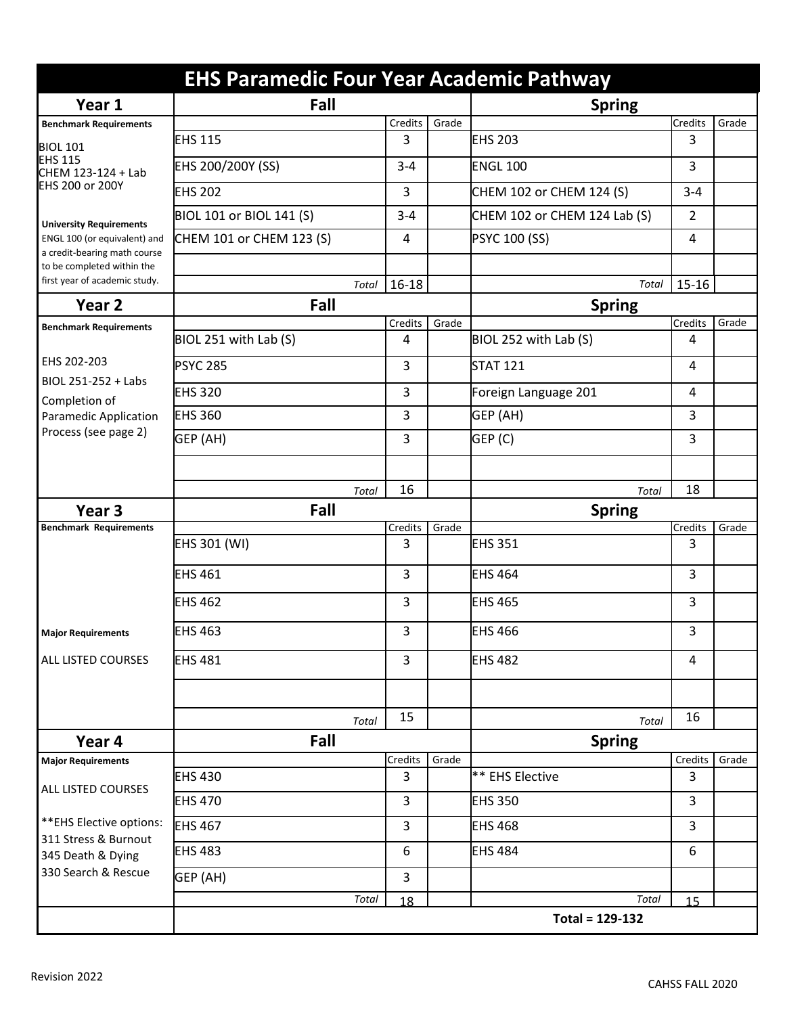|                                                                                   | <b>EHS Paramedic Four Year Academic Pathway</b> |               |       |                                        |                |       |  |
|-----------------------------------------------------------------------------------|-------------------------------------------------|---------------|-------|----------------------------------------|----------------|-------|--|
| Year 1                                                                            | Fall                                            | <b>Spring</b> |       |                                        |                |       |  |
| <b>Benchmark Requirements</b>                                                     |                                                 | Credits       | Grade |                                        | <b>Credits</b> | Grade |  |
| <b>BIOL 101</b><br><b>EHS 115</b><br>CHEM 123-124 + Lab<br><b>EHS 200 or 200Y</b> | <b>EHS 115</b>                                  | 3             |       | <b>EHS 203</b>                         | 3              |       |  |
|                                                                                   | EHS 200/200Y (SS)                               | $3 - 4$       |       | <b>ENGL 100</b>                        | 3              |       |  |
|                                                                                   | <b>EHS 202</b>                                  | 3             |       | CHEM 102 or CHEM 124 (S)               | $3 - 4$        |       |  |
| <b>University Requirements</b>                                                    | BIOL 101 or BIOL 141 (S)                        | $3 - 4$       |       | CHEM 102 or CHEM 124 Lab (S)           | $\overline{2}$ |       |  |
| ENGL 100 (or equivalent) and<br>a credit-bearing math course                      | CHEM 101 or CHEM 123 (S)                        | 4             |       | <b>PSYC 100 (SS)</b>                   | 4              |       |  |
| to be completed within the                                                        |                                                 |               |       |                                        |                |       |  |
| first year of academic study.                                                     | Total                                           | $16 - 18$     |       | Total                                  | $15 - 16$      |       |  |
| Year 2                                                                            | Fall                                            |               |       | <b>Spring</b>                          |                |       |  |
| <b>Benchmark Requirements</b>                                                     |                                                 | Credits       | Grade |                                        | Credits        | Grade |  |
|                                                                                   | BIOL 251 with Lab (S)                           | 4             |       | BIOL 252 with Lab (S)                  | 4              |       |  |
| EHS 202-203<br>BIOL 251-252 + Labs                                                | <b>PSYC 285</b>                                 | 3             |       | <b>STAT 121</b>                        | 4              |       |  |
| Completion of                                                                     | <b>EHS 320</b>                                  | 3             |       | Foreign Language 201                   | 4              |       |  |
| <b>Paramedic Application</b><br>Process (see page 2)                              | <b>EHS 360</b>                                  | 3             |       | GEP (AH)                               | 3              |       |  |
|                                                                                   | GEP (AH)                                        | 3             |       | GEP (C)                                | 3              |       |  |
|                                                                                   |                                                 |               |       |                                        |                |       |  |
|                                                                                   | Total                                           | 16            |       | Total                                  | 18             |       |  |
| Year <sub>3</sub>                                                                 | Fall                                            |               |       | <b>Spring</b>                          |                |       |  |
| <b>Benchmark Requirements</b>                                                     |                                                 |               |       |                                        |                |       |  |
|                                                                                   |                                                 | Credits       | Grade |                                        | Credits        | Grade |  |
|                                                                                   | EHS 301 (WI)                                    | 3             |       | <b>EHS 351</b>                         | 3              |       |  |
|                                                                                   | <b>EHS 461</b>                                  | 3             |       | <b>EHS 464</b>                         | 3              |       |  |
|                                                                                   | <b>EHS 462</b>                                  | 3             |       | <b>EHS 465</b>                         | 3              |       |  |
| <b>Major Requirements</b>                                                         | <b>EHS 463</b>                                  | 3             |       | <b>EHS 466</b>                         | 3              |       |  |
| <b>ALL LISTED COURSES</b>                                                         | <b>EHS 481</b>                                  | 3             |       | <b>EHS 482</b>                         | 4              |       |  |
|                                                                                   |                                                 |               |       |                                        |                |       |  |
|                                                                                   | Total                                           | 15            |       | Total                                  | 16             |       |  |
| Year 4                                                                            | Fall                                            |               |       | <b>Spring</b>                          |                |       |  |
| <b>Major Requirements</b>                                                         |                                                 | Credits       | Grade |                                        | Credits        | Grade |  |
|                                                                                   | <b>EHS 430</b>                                  | 3             |       | ** EHS Elective                        | 3              |       |  |
| <b>ALL LISTED COURSES</b>                                                         | <b>EHS 470</b>                                  | 3             |       | <b>EHS 350</b>                         | 3              |       |  |
| ** EHS Elective options:                                                          | <b>EHS 467</b>                                  | 3             |       | <b>EHS 468</b>                         | 3              |       |  |
| 311 Stress & Burnout<br>345 Death & Dying                                         | <b>EHS 483</b>                                  | 6             |       | <b>EHS 484</b>                         | 6              |       |  |
| 330 Search & Rescue                                                               | GEP (AH)                                        | 3             |       |                                        |                |       |  |
|                                                                                   | Total                                           | 18            |       | <b>Total</b><br><b>Total = 129-132</b> | 15             |       |  |